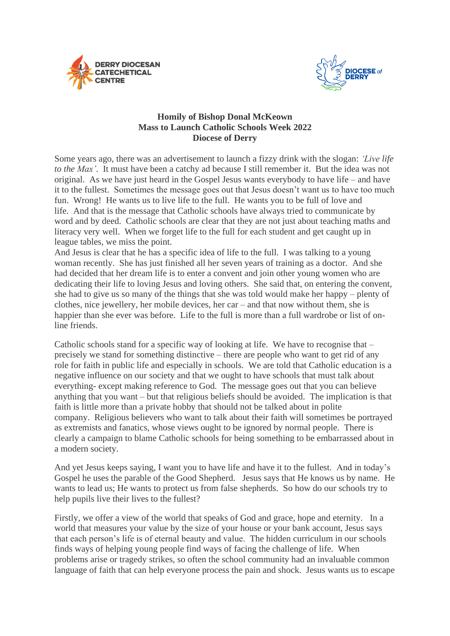



## **Homily of Bishop Donal McKeown Mass to Launch Catholic Schools Week 2022 Diocese of Derry**

Some years ago, there was an advertisement to launch a fizzy drink with the slogan: *'Live life to the Max'*. It must have been a catchy ad because I still remember it. But the idea was not original. As we have just heard in the Gospel Jesus wants everybody to have life – and have it to the fullest. Sometimes the message goes out that Jesus doesn't want us to have too much fun. Wrong! He wants us to live life to the full. He wants you to be full of love and life. And that is the message that Catholic schools have always tried to communicate by word and by deed. Catholic schools are clear that they are not just about teaching maths and literacy very well. When we forget life to the full for each student and get caught up in league tables, we miss the point.

And Jesus is clear that he has a specific idea of life to the full. I was talking to a young woman recently. She has just finished all her seven years of training as a doctor. And she had decided that her dream life is to enter a convent and join other young women who are dedicating their life to loving Jesus and loving others. She said that, on entering the convent, she had to give us so many of the things that she was told would make her happy – plenty of clothes, nice jewellery, her mobile devices, her car – and that now without them, she is happier than she ever was before. Life to the full is more than a full wardrobe or list of online friends.

Catholic schools stand for a specific way of looking at life. We have to recognise that  $$ precisely we stand for something distinctive – there are people who want to get rid of any role for faith in public life and especially in schools. We are told that Catholic education is a negative influence on our society and that we ought to have schools that must talk about everything- except making reference to God. The message goes out that you can believe anything that you want – but that religious beliefs should be avoided. The implication is that faith is little more than a private hobby that should not be talked about in polite company. Religious believers who want to talk about their faith will sometimes be portrayed as extremists and fanatics, whose views ought to be ignored by normal people. There is clearly a campaign to blame Catholic schools for being something to be embarrassed about in a modern society.

And yet Jesus keeps saying, I want you to have life and have it to the fullest. And in today's Gospel he uses the parable of the Good Shepherd. Jesus says that He knows us by name. He wants to lead us; He wants to protect us from false shepherds. So how do our schools try to help pupils live their lives to the fullest?

Firstly, we offer a view of the world that speaks of God and grace, hope and eternity. In a world that measures your value by the size of your house or your bank account, Jesus says that each person's life is of eternal beauty and value. The hidden curriculum in our schools finds ways of helping young people find ways of facing the challenge of life. When problems arise or tragedy strikes, so often the school community had an invaluable common language of faith that can help everyone process the pain and shock. Jesus wants us to escape